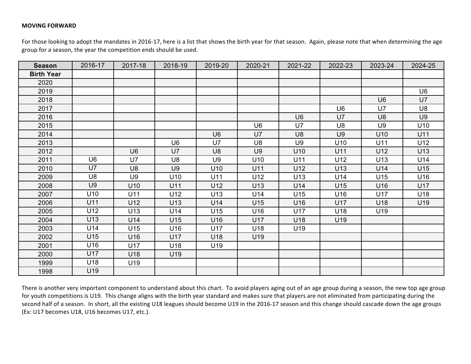## **MOVING FORWARD**

For those looking to adopt the mandates in 2016-17, here is a list that shows the birth year for that season. Again, please note that when determining the age group for a season, the year the competition ends should be used.

| <b>Season</b>     | 2016-17 | 2017-18        | 2018-19        | 2019-20        | 2020-21        | 2021-22        | 2022-23        | 2023-24        | 2024-25         |
|-------------------|---------|----------------|----------------|----------------|----------------|----------------|----------------|----------------|-----------------|
| <b>Birth Year</b> |         |                |                |                |                |                |                |                |                 |
| 2020              |         |                |                |                |                |                |                |                |                 |
| 2019              |         |                |                |                |                |                |                |                | U <sub>6</sub>  |
| 2018              |         |                |                |                |                |                |                | U <sub>6</sub> | U7              |
| 2017              |         |                |                |                |                |                | U <sub>6</sub> | U7             | U8              |
| 2016              |         |                |                |                |                | U6             | U7             | U <sub>8</sub> | U9              |
| 2015              |         |                |                |                | U <sub>6</sub> | U7             | U <sub>8</sub> | U <sub>9</sub> | U <sub>10</sub> |
| 2014              |         |                |                | U <sub>6</sub> | U7             | U8             | U <sub>9</sub> | U10            | U11             |
| 2013              |         |                | U <sub>6</sub> | U7             | U8             | U <sub>9</sub> | U10            | U11            | U12             |
| 2012              |         | U <sub>6</sub> | U7             | U <sub>8</sub> | U <sub>9</sub> | U10            | U11            | U12            | U13             |
| 2011              | U6      | U7             | U8             | U9             | U10            | U11            | U12            | U13            | U14             |
| 2010              | U7      | U <sub>8</sub> | U9             | U10            | U11            | U12            | U13            | U14            | U15             |
| 2009              | U8      | U9             | U10            | U11            | U12            | U13            | U14            | U15            | U16             |
| 2008              | U9      | U10            | U11            | U12            | U13            | U14            | U15            | U16            | U17             |
| 2007              | U10     | U11            | U12            | U13            | U14            | U15            | U16            | U17            | U18             |
| 2006              | U11     | U12            | U13            | U14            | U15            | U16            | U17            | U18            | U19             |
| 2005              | U12     | U13            | U14            | U15            | U16            | U17            | U18            | U19            |                 |
| 2004              | U13     | U14            | U15            | U16            | U17            | U18            | U19            |                |                 |
| 2003              | U14     | U15            | U16            | U17            | U18            | U19            |                |                |                 |
| 2002              | U15     | U16            | U17            | U18            | U19            |                |                |                |                 |
| 2001              | U16     | U17            | U18            | U19            |                |                |                |                |                 |
| 2000              | U17     | U18            | U19            |                |                |                |                |                |                 |
| 1999              | U18     | U19            |                |                |                |                |                |                |                 |
| 1998              | U19     |                |                |                |                |                |                |                |                 |

There is another very important component to understand about this chart. To avoid players aging out of an age group during a season, the new top age group for youth competitions is U19. This change aligns with the birth year standard and makes sure that players are not eliminated from participating during the second half of a season. In short, all the existing U18 leagues should become U19 in the 2016-17 season and this change should cascade down the age groups (Ex: U17 becomes U18, U16 becomes U17, etc.).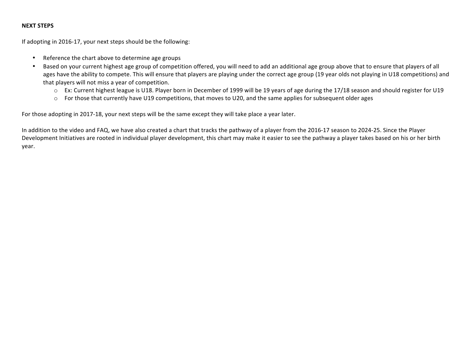## **NEXT STEPS**

If adopting in 2016-17, your next steps should be the following:

- Reference the chart above to determine age groups
- Based on your current highest age group of competition offered, you will need to add an additional age group above that to ensure that players of all ages have the ability to compete. This will ensure that players are playing under the correct age group (19 year olds not playing in U18 competitions) and that players will not miss a year of competition.
	- $\circ$  Ex: Current highest league is U18. Player born in December of 1999 will be 19 years of age during the 17/18 season and should register for U19
	- o For those that currently have U19 competitions, that moves to U20, and the same applies for subsequent older ages

For those adopting in 2017-18, your next steps will be the same except they will take place a year later.

In addition to the video and FAQ, we have also created a chart that tracks the pathway of a player from the 2016-17 season to 2024-25. Since the Player Development Initiatives are rooted in individual player development, this chart may make it easier to see the pathway a player takes based on his or her birth year.